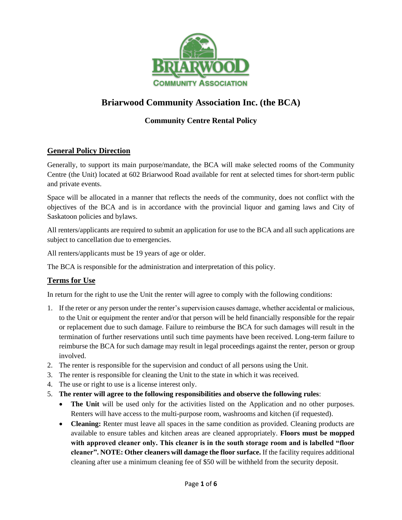

# **Briarwood Community Association Inc. (the BCA)**

## **Community Centre Rental Policy**

## **General Policy Direction**

Generally, to support its main purpose/mandate, the BCA will make selected rooms of the Community Centre (the Unit) located at 602 Briarwood Road available for rent at selected times for short-term public and private events.

Space will be allocated in a manner that reflects the needs of the community, does not conflict with the objectives of the BCA and is in accordance with the provincial liquor and gaming laws and City of Saskatoon policies and bylaws.

All renters/applicants are required to submit an application for use to the BCA and all such applications are subject to cancellation due to emergencies.

All renters/applicants must be 19 years of age or older.

The BCA is responsible for the administration and interpretation of this policy.

## **Terms for Use**

In return for the right to use the Unit the renter will agree to comply with the following conditions:

- 1. If the reter or any person under the renter's supervision causes damage, whether accidental or malicious, to the Unit or equipment the renter and/or that person will be held financially responsible for the repair or replacement due to such damage. Failure to reimburse the BCA for such damages will result in the termination of further reservations until such time payments have been received. Long-term failure to reimburse the BCA for such damage may result in legal proceedings against the renter, person or group involved.
- 2. The renter is responsible for the supervision and conduct of all persons using the Unit.
- 3. The renter is responsible for cleaning the Unit to the state in which it was received.
- 4. The use or right to use is a license interest only.
- 5. **The renter will agree to the following responsibilities and observe the following rules**:
	- **The Unit** will be used only for the activities listed on the Application and no other purposes. Renters will have access to the multi-purpose room, washrooms and kitchen (if requested).
	- **Cleaning:** Renter must leave all spaces in the same condition as provided. Cleaning products are available to ensure tables and kitchen areas are cleaned appropriately. **Floors must be mopped with approved cleaner only. This cleaner is in the south storage room and is labelled "floor cleaner". NOTE: Other cleaners will damage the floor surface.** If the facility requires additional cleaning after use a minimum cleaning fee of \$50 will be withheld from the security deposit.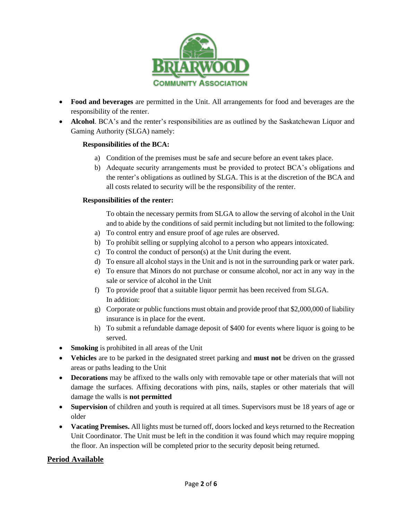

- **Food and beverages** are permitted in the Unit. All arrangements for food and beverages are the responsibility of the renter.
- **Alcohol**. BCA's and the renter's responsibilities are as outlined by the Saskatchewan Liquor and Gaming Authority (SLGA) namely:

## **Responsibilities of the BCA:**

- a) Condition of the premises must be safe and secure before an event takes place.
- b) Adequate security arrangements must be provided to protect BCA's obligations and the renter's obligations as outlined by SLGA. This is at the discretion of the BCA and all costs related to security will be the responsibility of the renter.

#### **Responsibilities of the renter:**

To obtain the necessary permits from SLGA to allow the serving of alcohol in the Unit and to abide by the conditions of said permit including but not limited to the following:

- a) To control entry and ensure proof of age rules are observed.
- b) To prohibit selling or supplying alcohol to a person who appears intoxicated.
- c) To control the conduct of person(s) at the Unit during the event.
- d) To ensure all alcohol stays in the Unit and is not in the surrounding park or water park.
- e) To ensure that Minors do not purchase or consume alcohol, nor act in any way in the sale or service of alcohol in the Unit
- f) To provide proof that a suitable liquor permit has been received from SLGA. In addition:
- g) Corporate or public functions must obtain and provide proof that \$2,000,000 of liability insurance is in place for the event.
- h) To submit a refundable damage deposit of \$400 for events where liquor is going to be served.
- **Smoking** is prohibited in all areas of the Unit
- **Vehicles** are to be parked in the designated street parking and **must not** be driven on the grassed areas or paths leading to the Unit
- **Decorations** may be affixed to the walls only with removable tape or other materials that will not damage the surfaces. Affixing decorations with pins, nails, staples or other materials that will damage the walls is **not permitted**
- **Supervision** of children and youth is required at all times. Supervisors must be 18 years of age or older
- **Vacating Premises.** All lights must be turned off, doors locked and keys returned to the Recreation Unit Coordinator. The Unit must be left in the condition it was found which may require mopping the floor. An inspection will be completed prior to the security deposit being returned.

## **Period Available**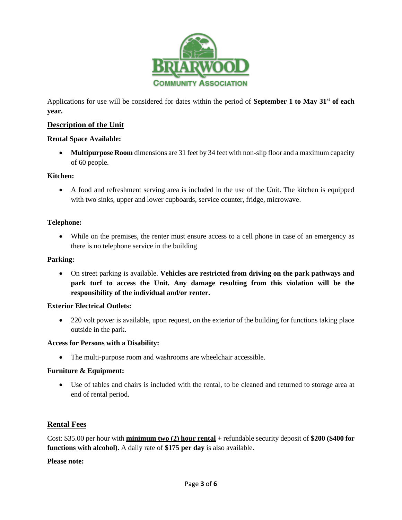

Applications for use will be considered for dates within the period of **September 1 to May 31st of each year.**

## **Description of the Unit**

#### **Rental Space Available:**

• **Multipurpose Room** dimensions are 31 feet by 34 feet with non-slip floor and a maximum capacity of 60 people.

#### **Kitchen:**

• A food and refreshment serving area is included in the use of the Unit. The kitchen is equipped with two sinks, upper and lower cupboards, service counter, fridge, microwave.

#### **Telephone:**

• While on the premises, the renter must ensure access to a cell phone in case of an emergency as there is no telephone service in the building

#### **Parking:**

• On street parking is available. **Vehicles are restricted from driving on the park pathways and park turf to access the Unit. Any damage resulting from this violation will be the responsibility of the individual and/or renter.**

#### **Exterior Electrical Outlets:**

• 220 volt power is available, upon request, on the exterior of the building for functions taking place outside in the park.

#### **Access for Persons with a Disability:**

• The multi-purpose room and washrooms are wheelchair accessible.

## **Furniture & Equipment:**

• Use of tables and chairs is included with the rental, to be cleaned and returned to storage area at end of rental period.

## **Rental Fees**

Cost: \$35.00 per hour with **minimum two (2) hour rental** + refundable security deposit of **\$200 (\$400 for functions with alcohol).** A daily rate of **\$175 per day** is also available.

#### **Please note:**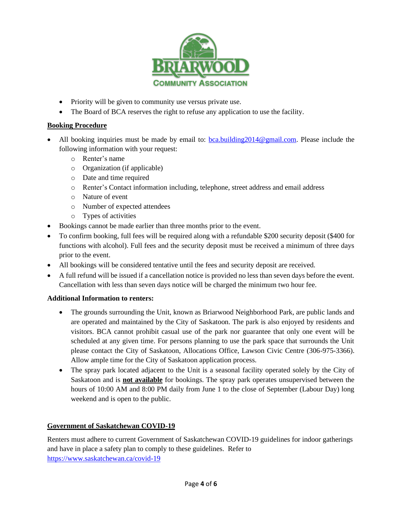

- Priority will be given to community use versus private use.
- The Board of BCA reserves the right to refuse any application to use the facility.

## **Booking Procedure**

- All booking inquiries must be made by email to:  $\underline{bca.building2014@gmail.com}$ . Please include the following information with your request:
	- o Renter's name
	- o Organization (if applicable)
	- o Date and time required
	- o Renter's Contact information including, telephone, street address and email address
	- o Nature of event
	- o Number of expected attendees
	- o Types of activities
- Bookings cannot be made earlier than three months prior to the event.
- To confirm booking, full fees will be required along with a refundable \$200 security deposit (\$400 for functions with alcohol). Full fees and the security deposit must be received a minimum of three days prior to the event.
- All bookings will be considered tentative until the fees and security deposit are received.
- A full refund will be issued if a cancellation notice is provided no less than seven days before the event. Cancellation with less than seven days notice will be charged the minimum two hour fee.

## **Additional Information to renters:**

- The grounds surrounding the Unit, known as Briarwood Neighborhood Park, are public lands and are operated and maintained by the City of Saskatoon. The park is also enjoyed by residents and visitors. BCA cannot prohibit casual use of the park nor guarantee that only one event will be scheduled at any given time. For persons planning to use the park space that surrounds the Unit please contact the City of Saskatoon, Allocations Office, Lawson Civic Centre (306-975-3366). Allow ample time for the City of Saskatoon application process.
- The spray park located adjacent to the Unit is a seasonal facility operated solely by the City of Saskatoon and is **not available** for bookings. The spray park operates unsupervised between the hours of 10:00 AM and 8:00 PM daily from June 1 to the close of September (Labour Day) long weekend and is open to the public.

## **Government of Saskatchewan COVID-19**

Renters must adhere to current Government of Saskatchewan COVID-19 guidelines for indoor gatherings and have in place a safety plan to comply to these guidelines. Refer to <https://www.saskatchewan.ca/covid-19>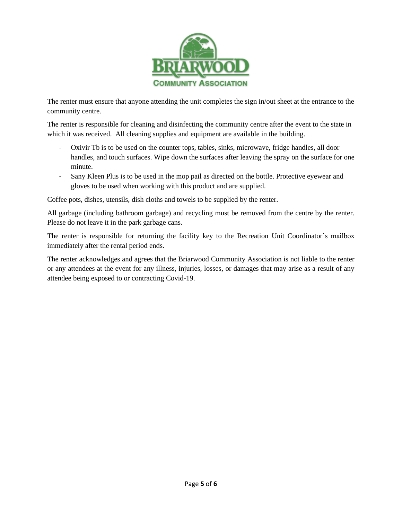

The renter must ensure that anyone attending the unit completes the sign in/out sheet at the entrance to the community centre.

The renter is responsible for cleaning and disinfecting the community centre after the event to the state in which it was received. All cleaning supplies and equipment are available in the building.

- Oxivir Tb is to be used on the counter tops, tables, sinks, microwave, fridge handles, all door handles, and touch surfaces. Wipe down the surfaces after leaving the spray on the surface for one minute.
- Sany Kleen Plus is to be used in the mop pail as directed on the bottle. Protective eyewear and gloves to be used when working with this product and are supplied.

Coffee pots, dishes, utensils, dish cloths and towels to be supplied by the renter.

All garbage (including bathroom garbage) and recycling must be removed from the centre by the renter. Please do not leave it in the park garbage cans.

The renter is responsible for returning the facility key to the Recreation Unit Coordinator's mailbox immediately after the rental period ends.

The renter acknowledges and agrees that the Briarwood Community Association is not liable to the renter or any attendees at the event for any illness, injuries, losses, or damages that may arise as a result of any attendee being exposed to or contracting Covid-19.